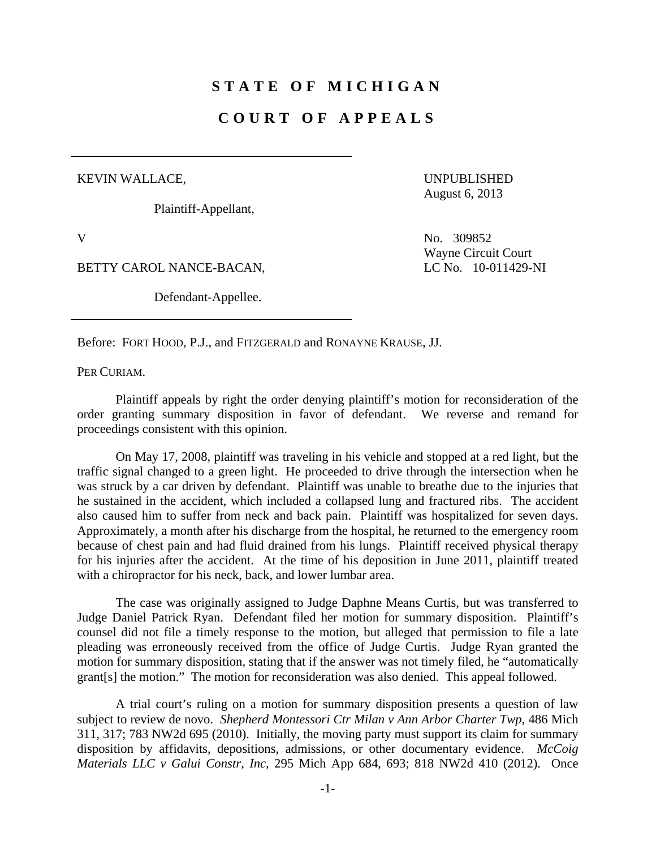## **STATE OF MICHIGAN**

## **COURT OF APPEALS**

## KEVIN WALLACE,

Plaintiff-Appellant,

UNPUBLISHED August 6, 2013

BETTY CAROL NANCE-BACAN, LC No. 10-011429-NI

Defendant-Appellee.

V No. 309852 Wayne Circuit Court

Before: FORT HOOD, P.J., and FITZGERALD and RONAYNE KRAUSE, JJ.

PER CURIAM.

 Plaintiff appeals by right the order denying plaintiff's motion for reconsideration of the order granting summary disposition in favor of defendant. We reverse and remand for proceedings consistent with this opinion.

 On May 17, 2008, plaintiff was traveling in his vehicle and stopped at a red light, but the traffic signal changed to a green light. He proceeded to drive through the intersection when he was struck by a car driven by defendant. Plaintiff was unable to breathe due to the injuries that he sustained in the accident, which included a collapsed lung and fractured ribs. The accident also caused him to suffer from neck and back pain. Plaintiff was hospitalized for seven days. Approximately, a month after his discharge from the hospital, he returned to the emergency room because of chest pain and had fluid drained from his lungs. Plaintiff received physical therapy for his injuries after the accident. At the time of his deposition in June 2011, plaintiff treated with a chiropractor for his neck, back, and lower lumbar area.

 The case was originally assigned to Judge Daphne Means Curtis, but was transferred to Judge Daniel Patrick Ryan. Defendant filed her motion for summary disposition. Plaintiff's counsel did not file a timely response to the motion, but alleged that permission to file a late pleading was erroneously received from the office of Judge Curtis. Judge Ryan granted the motion for summary disposition, stating that if the answer was not timely filed, he "automatically grant[s] the motion." The motion for reconsideration was also denied. This appeal followed.

 A trial court's ruling on a motion for summary disposition presents a question of law subject to review de novo. *Shepherd Montessori Ctr Milan v Ann Arbor Charter Twp*, 486 Mich 311, 317; 783 NW2d 695 (2010). Initially, the moving party must support its claim for summary disposition by affidavits, depositions, admissions, or other documentary evidence. *McCoig Materials LLC v Galui Constr, Inc*, 295 Mich App 684, 693; 818 NW2d 410 (2012). Once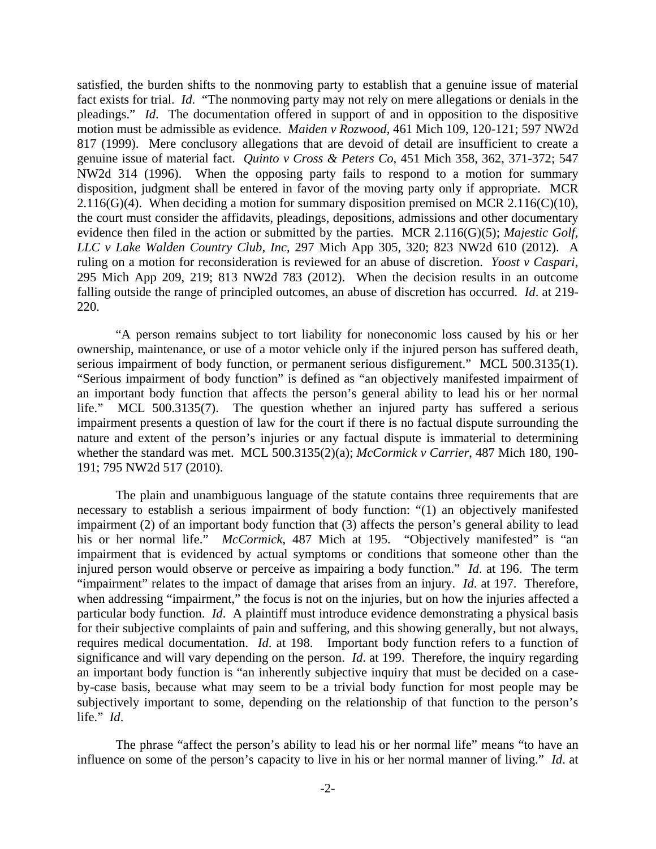satisfied, the burden shifts to the nonmoving party to establish that a genuine issue of material fact exists for trial. *Id*. "The nonmoving party may not rely on mere allegations or denials in the pleadings." *Id*. The documentation offered in support of and in opposition to the dispositive motion must be admissible as evidence. *Maiden v Rozwood*, 461 Mich 109, 120-121; 597 NW2d 817 (1999). Mere conclusory allegations that are devoid of detail are insufficient to create a genuine issue of material fact. *Quinto v Cross & Peters Co*, 451 Mich 358, 362, 371-372; 547 NW2d 314 (1996). When the opposing party fails to respond to a motion for summary disposition, judgment shall be entered in favor of the moving party only if appropriate. MCR 2.116(G)(4). When deciding a motion for summary disposition premised on MCR 2.116(C)(10), the court must consider the affidavits, pleadings, depositions, admissions and other documentary evidence then filed in the action or submitted by the parties. MCR 2.116(G)(5); *Majestic Golf, LLC v Lake Walden Country Club, Inc*, 297 Mich App 305, 320; 823 NW2d 610 (2012). A ruling on a motion for reconsideration is reviewed for an abuse of discretion. *Yoost v Caspari*, 295 Mich App 209, 219; 813 NW2d 783 (2012). When the decision results in an outcome falling outside the range of principled outcomes, an abuse of discretion has occurred. *Id*. at 219- 220.

 "A person remains subject to tort liability for noneconomic loss caused by his or her ownership, maintenance, or use of a motor vehicle only if the injured person has suffered death, serious impairment of body function, or permanent serious disfigurement." MCL 500.3135(1). "Serious impairment of body function" is defined as "an objectively manifested impairment of an important body function that affects the person's general ability to lead his or her normal life." MCL 500.3135(7). The question whether an injured party has suffered a serious impairment presents a question of law for the court if there is no factual dispute surrounding the nature and extent of the person's injuries or any factual dispute is immaterial to determining whether the standard was met. MCL 500.3135(2)(a); *McCormick v Carrier*, 487 Mich 180, 190- 191; 795 NW2d 517 (2010).

 The plain and unambiguous language of the statute contains three requirements that are necessary to establish a serious impairment of body function: "(1) an objectively manifested impairment (2) of an important body function that (3) affects the person's general ability to lead his or her normal life." *McCormick*, 487 Mich at 195. "Objectively manifested" is "an impairment that is evidenced by actual symptoms or conditions that someone other than the injured person would observe or perceive as impairing a body function." *Id*. at 196. The term "impairment" relates to the impact of damage that arises from an injury. *Id*. at 197. Therefore, when addressing "impairment," the focus is not on the injuries, but on how the injuries affected a particular body function. *Id*. A plaintiff must introduce evidence demonstrating a physical basis for their subjective complaints of pain and suffering, and this showing generally, but not always, requires medical documentation. *Id*. at 198. Important body function refers to a function of significance and will vary depending on the person. *Id*. at 199. Therefore, the inquiry regarding an important body function is "an inherently subjective inquiry that must be decided on a caseby-case basis, because what may seem to be a trivial body function for most people may be subjectively important to some, depending on the relationship of that function to the person's life." *Id*.

 The phrase "affect the person's ability to lead his or her normal life" means "to have an influence on some of the person's capacity to live in his or her normal manner of living." *Id*. at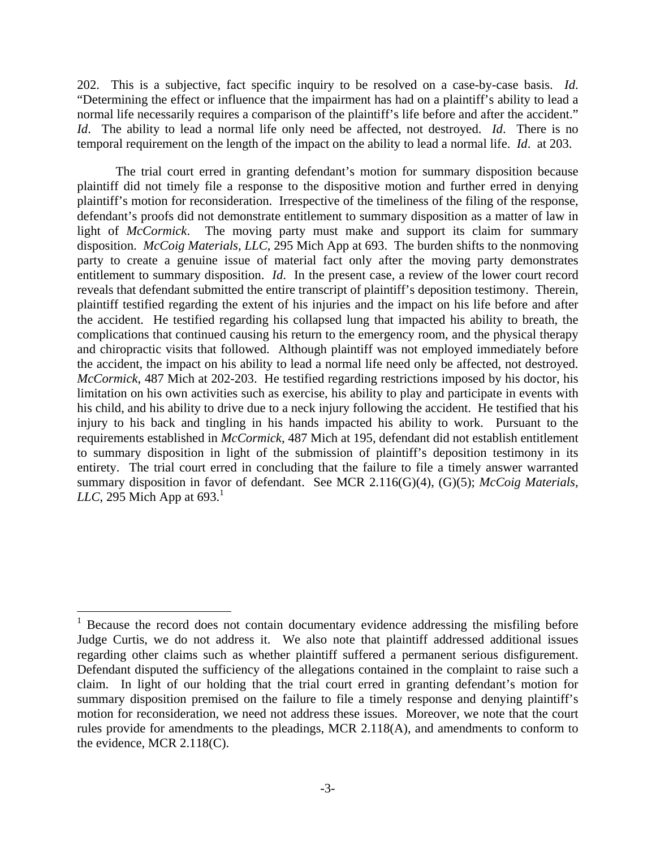202. This is a subjective, fact specific inquiry to be resolved on a case-by-case basis. *Id*. "Determining the effect or influence that the impairment has had on a plaintiff's ability to lead a normal life necessarily requires a comparison of the plaintiff's life before and after the accident." *Id*. The ability to lead a normal life only need be affected, not destroyed. *Id*. There is no temporal requirement on the length of the impact on the ability to lead a normal life. *Id*. at 203.

 The trial court erred in granting defendant's motion for summary disposition because plaintiff did not timely file a response to the dispositive motion and further erred in denying plaintiff's motion for reconsideration. Irrespective of the timeliness of the filing of the response, defendant's proofs did not demonstrate entitlement to summary disposition as a matter of law in light of *McCormick*. The moving party must make and support its claim for summary disposition. *McCoig Materials, LLC*, 295 Mich App at 693. The burden shifts to the nonmoving party to create a genuine issue of material fact only after the moving party demonstrates entitlement to summary disposition. *Id*. In the present case, a review of the lower court record reveals that defendant submitted the entire transcript of plaintiff's deposition testimony. Therein, plaintiff testified regarding the extent of his injuries and the impact on his life before and after the accident. He testified regarding his collapsed lung that impacted his ability to breath, the complications that continued causing his return to the emergency room, and the physical therapy and chiropractic visits that followed. Although plaintiff was not employed immediately before the accident, the impact on his ability to lead a normal life need only be affected, not destroyed. *McCormick*, 487 Mich at 202-203. He testified regarding restrictions imposed by his doctor, his limitation on his own activities such as exercise, his ability to play and participate in events with his child, and his ability to drive due to a neck injury following the accident. He testified that his injury to his back and tingling in his hands impacted his ability to work. Pursuant to the requirements established in *McCormick*, 487 Mich at 195, defendant did not establish entitlement to summary disposition in light of the submission of plaintiff's deposition testimony in its entirety. The trial court erred in concluding that the failure to file a timely answer warranted summary disposition in favor of defendant. See MCR 2.116(G)(4), (G)(5); *McCoig Materials, LLC*, 295 Mich App at  $693<sup>1</sup>$ 

1

<sup>1</sup> Because the record does not contain documentary evidence addressing the misfiling before Judge Curtis, we do not address it. We also note that plaintiff addressed additional issues regarding other claims such as whether plaintiff suffered a permanent serious disfigurement. Defendant disputed the sufficiency of the allegations contained in the complaint to raise such a claim. In light of our holding that the trial court erred in granting defendant's motion for summary disposition premised on the failure to file a timely response and denying plaintiff's motion for reconsideration, we need not address these issues. Moreover, we note that the court rules provide for amendments to the pleadings, MCR 2.118(A), and amendments to conform to the evidence, MCR 2.118(C).